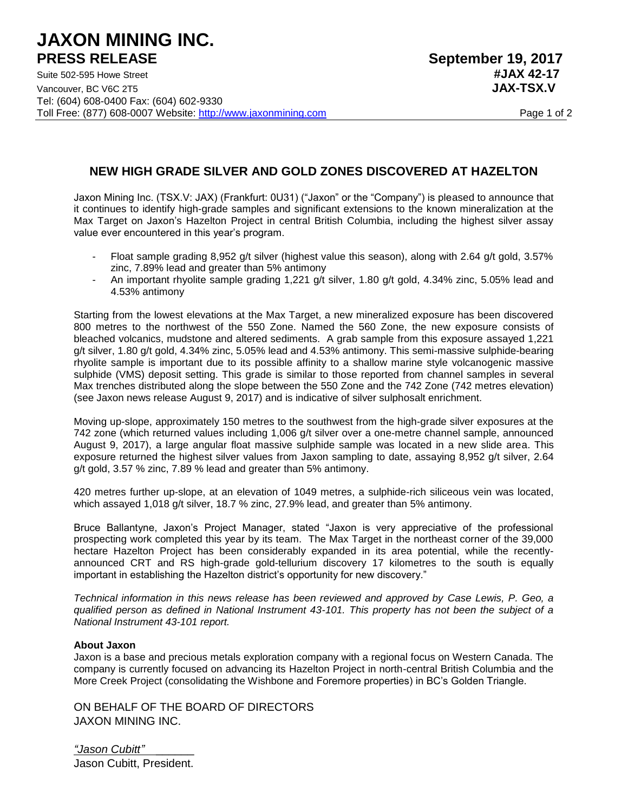## **JAXON MINING INC. PRESS RELEASE** September 19, 2017

## **NEW HIGH GRADE SILVER AND GOLD ZONES DISCOVERED AT HAZELTON**

Jaxon Mining Inc. (TSX.V: JAX) (Frankfurt: 0U31) ("Jaxon" or the "Company") is pleased to announce that it continues to identify high-grade samples and significant extensions to the known mineralization at the Max Target on Jaxon's Hazelton Project in central British Columbia, including the highest silver assay value ever encountered in this year's program.

- Float sample grading 8,952 g/t silver (highest value this season), along with 2.64 g/t gold, 3.57% zinc, 7.89% lead and greater than 5% antimony
- An important rhyolite sample grading 1,221 g/t silver, 1.80 g/t gold, 4.34% zinc, 5.05% lead and 4.53% antimony

Starting from the lowest elevations at the Max Target, a new mineralized exposure has been discovered 800 metres to the northwest of the 550 Zone. Named the 560 Zone, the new exposure consists of bleached volcanics, mudstone and altered sediments. A grab sample from this exposure assayed 1,221 g/t silver, 1.80 g/t gold, 4.34% zinc, 5.05% lead and 4.53% antimony. This semi-massive sulphide-bearing rhyolite sample is important due to its possible affinity to a shallow marine style volcanogenic massive sulphide (VMS) deposit setting. This grade is similar to those reported from channel samples in several Max trenches distributed along the slope between the 550 Zone and the 742 Zone (742 metres elevation) (see Jaxon news release August 9, 2017) and is indicative of silver sulphosalt enrichment.

Moving up-slope, approximately 150 metres to the southwest from the high-grade silver exposures at the 742 zone (which returned values including 1,006 g/t silver over a one-metre channel sample, announced August 9, 2017), a large angular float massive sulphide sample was located in a new slide area. This exposure returned the highest silver values from Jaxon sampling to date, assaying 8,952 g/t silver, 2.64 g/t gold, 3.57 % zinc, 7.89 % lead and greater than 5% antimony.

420 metres further up-slope, at an elevation of 1049 metres, a sulphide-rich siliceous vein was located, which assayed 1,018 g/t silver, 18.7 % zinc, 27.9% lead, and greater than 5% antimony.

Bruce Ballantyne, Jaxon's Project Manager, stated "Jaxon is very appreciative of the professional prospecting work completed this year by its team. The Max Target in the northeast corner of the 39,000 hectare Hazelton Project has been considerably expanded in its area potential, while the recentlyannounced CRT and RS high-grade gold-tellurium discovery 17 kilometres to the south is equally important in establishing the Hazelton district's opportunity for new discovery."

*Technical information in this news release has been reviewed and approved by Case Lewis, P. Geo, a qualified person as defined in National Instrument 43-101. This property has not been the subject of a National Instrument 43-101 report.* 

## **About Jaxon**

Jaxon is a base and precious metals exploration company with a regional focus on Western Canada. The company is currently focused on advancing its Hazelton Project in north-central British Columbia and the More Creek Project (consolidating the Wishbone and Foremore properties) in BC's Golden Triangle.

ON BEHALF OF THE BOARD OF DIRECTORS JAXON MINING INC.

*"Jason Cubitt" \_\_\_\_\_\_* Jason Cubitt, President.